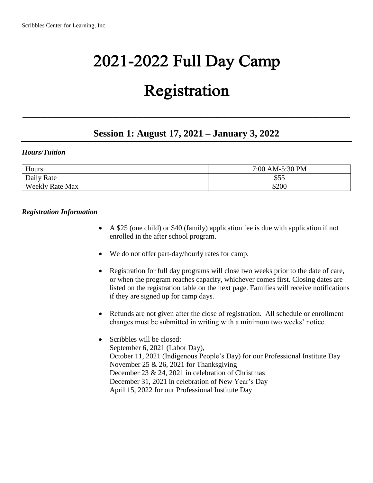# 2021-2022 Full Day Camp

## Registration

### **Session 1: August 17, 2021 – January 3, 2022**

\_\_\_\_\_\_\_\_\_\_\_\_\_\_\_\_\_\_\_\_\_\_\_\_\_\_\_\_\_\_\_\_\_\_\_\_\_\_\_\_\_\_\_\_\_\_\_\_\_\_\_\_\_\_

#### *Hours/Tuition*

| Hours                  | 7:00 AM-5:30 PM |  |
|------------------------|-----------------|--|
| Daily Rate             | \$55            |  |
| <b>Weekly Rate Max</b> | \$200           |  |

#### *Registration Information*

- A \$25 (one child) or \$40 (family) application fee is due with application if not enrolled in the after school program.
- We do not offer part-day/hourly rates for camp.
- Registration for full day programs will close two weeks prior to the date of care, or when the program reaches capacity, whichever comes first. Closing dates are listed on the registration table on the next page. Families will receive notifications if they are signed up for camp days.
- Refunds are not given after the close of registration. All schedule or enrollment changes must be submitted in writing with a minimum two weeks' notice.
- Scribbles will be closed: September 6, 2021 (Labor Day), October 11, 2021 (Indigenous People's Day) for our Professional Institute Day November 25 & 26, 2021 for Thanksgiving December 23 & 24, 2021 in celebration of Christmas December 31, 2021 in celebration of New Year's Day April 15, 2022 for our Professional Institute Day